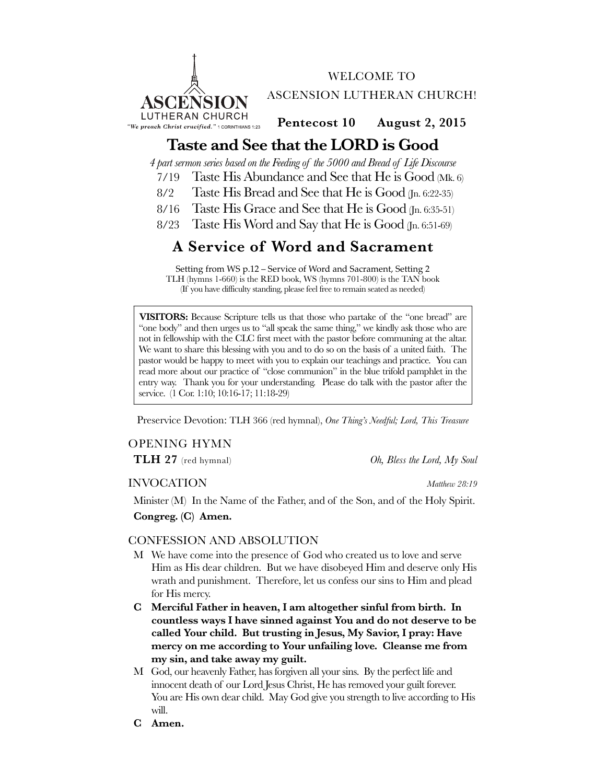

WELCOME TO ASCENSION LUTHERAN CHURCH!

**Pentecost 10 August 2, 2015**

# **Taste and See that the LORD is Good**

*4 part sermon series based on the Feeding of the 5000 and Bread of Life Discourse*

- 7/19 Taste His Abundance and See that He is Good (Mk. 6)
- 8/2 Taste His Bread and See that He is Good (Jn. 6:22-35)
- 8/16 Taste His Grace and See that He is Good (Jn. 6:35-51)
- 8/23 Taste His Word and Say that He is Good (Jn. 6:51-69)

# **A Service of Word and Sacrament**

Setting from WS p.12 – Service of Word and Sacrament, Setting 2 TLH (hymns 1-660) is the RED book, WS (hymns 701-800) is the TAN book (If you have difficulty standing, please feel free to remain seated as needed)

**VISITORS:** Because Scripture tells us that those who partake of the "one bread" are "one body" and then urges us to "all speak the same thing," we kindly ask those who are not in fellowship with the CLC first meet with the pastor before communing at the altar. We want to share this blessing with you and to do so on the basis of a united faith. The pastor would be happy to meet with you to explain our teachings and practice. You can read more about our practice of "close communion" in the blue trifold pamphlet in the entry way. Thank you for your understanding. Please do talk with the pastor after the service. (1 Cor. 1:10; 10:16-17; 11:18-29)

Preservice Devotion: TLH 366 (red hymnal), *One Thing's Needful; Lord, This Treasure*

# OPENING HYMN

**TLH 27** (red hymnal) *Oh, Bless the Lord, My Soul*

# INVOCATION *Matthew 28:19*

Minister (M) In the Name of the Father, and of the Son, and of the Holy Spirit.

**Congreg. (C) Amen.**

# CONFESSION AND ABSOLUTION

- M We have come into the presence of God who created us to love and serve Him as His dear children. But we have disobeyed Him and deserve only His wrath and punishment. Therefore, let us confess our sins to Him and plead for His mercy.
- **C Merciful Father in heaven, I am altogether sinful from birth. In countless ways I have sinned against You and do not deserve to be called Your child. But trusting in Jesus, My Savior, I pray: Have mercy on me according to Your unfailing love. Cleanse me from my sin, and take away my guilt.**
- M God, our heavenly Father, has forgiven all your sins. By the perfect life and innocent death of our Lord Jesus Christ, He has removed your guilt forever. You are His own dear child. May God give you strength to live according to His will.
- **C Amen.**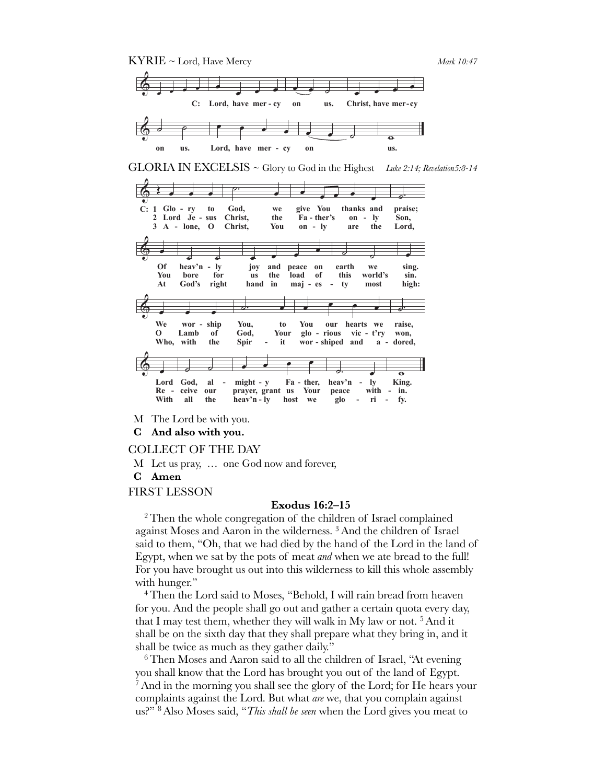

GLORIA IN EXCELSIS ~ Glory to God in the Highest Luke 2:14; Revelation5:8-14

|    |              |                                                      |                      | ヮ・                                                                    |            |                          |                                           |                     |                                        |                          |
|----|--------------|------------------------------------------------------|----------------------|-----------------------------------------------------------------------|------------|--------------------------|-------------------------------------------|---------------------|----------------------------------------|--------------------------|
|    |              |                                                      |                      | b.                                                                    |            |                          |                                           |                     |                                        |                          |
|    |              | $GI_0 - rV$                                          | ťó                   | God,                                                                  | we         |                          |                                           |                     | give You $\bullet$ thanks and          | praise;                  |
| C: | <b>L</b> erd | Je<br>$\sum_{\text{Cord}}$ lone, $\sum_{\text{SUS}}$ | sus                  | Christ.<br>50C<br>EAFISE:                                             | the<br>FBF |                          | Fa - ther's<br>give<br>$H4$ - ther's      | $th\frac{9}{10}$ ks | $\frac{1}{2}$<br>₩€                    | Son.<br>praiše;<br>§8fa, |
|    |              | <u>A - lone, O</u>                                   |                      | Christ.                                                               | You        | $on - ly$                |                                           | are                 | <u>the</u>                             | Lord.                    |
|    |              |                                                      |                      |                                                                       |            |                          |                                           |                     |                                        |                          |
|    |              |                                                      |                      |                                                                       |            |                          |                                           |                     |                                        |                          |
|    | Œf           | hegy'n -                                             | ļу                   | jΩy                                                                   | and        | peace                    | on                                        | earth               | we                                     | sing.                    |
|    | ծքա          | ,bore<br>neav. n<br>bore <sup>s</sup>                | rıgnt                | 10 <sup>8</sup><br>nand                                               | 紬          | Joad<br>peace            | 8ĥ                                        | earth               | world's                                | SH).                     |
|    | Yòu          |                                                      |                      |                                                                       | ťile       | 183d                     | 8¥                                        | this                | world's                                | ugn:<br>Sm.              |
|    | At           | God's                                                | right                | hand                                                                  | in         | $\text{maj} - \text{es}$ | $\overline{\phantom{a}}$                  | tv                  | most                                   | high:                    |
|    |              |                                                      |                      | っ                                                                     |            |                          |                                           |                     |                                        |                          |
|    |              |                                                      |                      |                                                                       |            |                          |                                           |                     |                                        |                          |
|    | We           | $wor - slaip$                                        |                      | You,                                                                  | ťо         | You                      | our                                       | hearts              | we                                     | raise,                   |
|    | rb           | Lamb                                                 | ship                 | God,<br>You:                                                          | Your       | glo -<br>Fou             | rious<br>onr                              | hearts              | t'ry                                   | won.<br>raise,           |
|    | Yho,         | L'amb                                                | ₩                    | G6d,                                                                  | Yður       |                          | $\gamma_{\text{B}}$ = $\gamma_{\text{B}}$ |                     | $\frac{d^{2}u}{dx^{2}}$ - $t^{3}y^{-}$ | dored,                   |
|    |              | Who, with                                            | the                  | <u>Spir</u>                                                           | it.        |                          |                                           |                     | wor - shiped and a - dored,            |                          |
|    |              |                                                      |                      |                                                                       |            |                          |                                           |                     |                                        |                          |
|    |              |                                                      |                      |                                                                       |            |                          |                                           |                     |                                        | $\overline{\mathbf{e}}$  |
|    | Lord         | God,                                                 | Я                    | $m\bar{g}$ ht - $y$                                                   |            | Fa - ther,               |                                           | heav'n              | <b>Ly</b>                              | King.                    |
|    | K8rd         | Gelyf.                                               | oyr                  | $\frac{m}{m}$ $\frac{m}{m}$ $\frac{m}{m}$ $\frac{m}{m}$ $\frac{m}{m}$ |            |                          |                                           | reace,              | with                                   | K}}}g.                   |
|    | Retn_        | cëlve                                                | եցգ                  | Brayel, grant host War                                                |            |                          |                                           | peace               | with                                   | Ħň:                      |
|    | With         | all                                                  | the                  | $heav'n - ly$                                                         |            | host<br>we               |                                           | glo                 | ri                                     | fy.                      |
| M  |              |                                                      | The Lord be with you |                                                                       |            |                          |                                           |                     |                                        |                          |

C And also with you.

#### COLLECT OF THE DAY

- M Let us pray, ... one God now and forever,
- C Amen

### **FIRST LESSON**

### **Exodus 16:2-15**

<sup>2</sup> Then the whole congregation of the children of Israel complained against Moses and Aaron in the wilderness.<sup>3</sup> And the children of Israel said to them, "Oh, that we had died by the hand of the Lord in the land of Egypt, when we sat by the pots of meat *and* when we ate bread to the full! For you have brought us out into this wilderness to kill this whole assembly with hunger."

<sup>4</sup> Then the Lord said to Moses, "Behold, I will rain bread from heaven for you. And the people shall go out and gather a certain quota every day, that I may test them, whether they will walk in My law or not.<sup>5</sup> And it shall be on the sixth day that they shall prepare what they bring in, and it shall be twice as much as they gather daily."

<sup>6</sup> Then Moses and Aaron said to all the children of Israel, "At evening" you shall know that the Lord has brought you out of the land of Egypt. And in the morning you shall see the glory of the Lord; for He hears your complaints against the Lord. But what are we, that you complain against us?" <sup>8</sup> Also Moses said, "This shall be seen when the Lord gives you meat to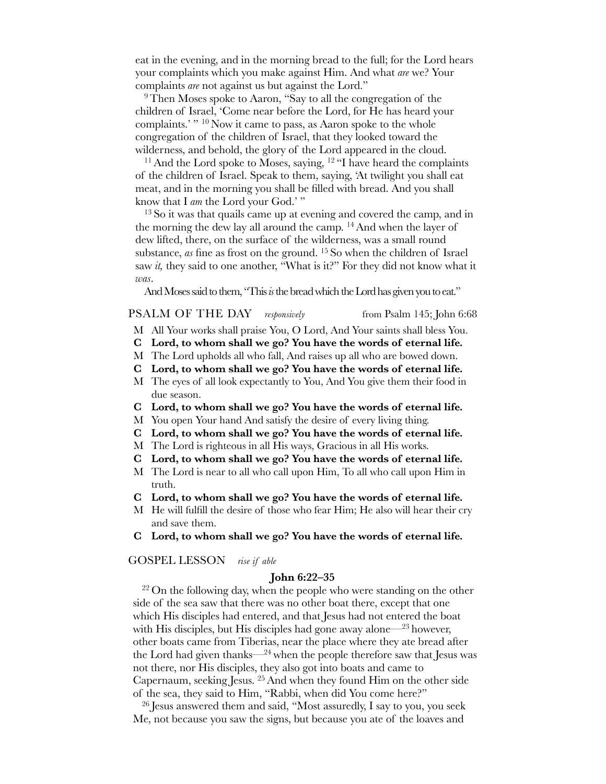eat in the evening, and in the morning bread to the full; for the Lord hears your complaints which you make against Him. And what *are* we? Your complaints *are* not against us but against the Lord."

<sup>9</sup>Then Moses spoke to Aaron, "Say to all the congregation of the children of Israel, 'Come near before the Lord, for He has heard your complaints.' " 10 Now it came to pass, as Aaron spoke to the whole congregation of the children of Israel, that they looked toward the wilderness, and behold, the glory of the Lord appeared in the cloud.

<sup>11</sup> And the Lord spoke to Moses, saying, <sup>12</sup> "I have heard the complaints of the children of Israel. Speak to them, saying, 'At twilight you shall eat meat, and in the morning you shall be filled with bread. And you shall know that I *am* the Lord your God.' "

 $13$  So it was that quails came up at evening and covered the camp, and in the morning the dew lay all around the camp. 14And when the layer of dew lifted, there, on the surface of the wilderness, was a small round substance, *as* fine as frost on the ground. 15 So when the children of Israel saw *it,* they said to one another, "What is it?" For they did not know what it *was*.

And Moses said to them, "This *is* the bread which the Lord has given you to eat."

# PSALM OF THE DAY *responsively* from Psalm 145; John 6:68

- M All Your works shall praise You, O Lord, And Your saints shall bless You.
- **C Lord, to whom shall we go? You have the words of eternal life.**
- M The Lord upholds all who fall, And raises up all who are bowed down.
- **C Lord, to whom shall we go? You have the words of eternal life.**
- M The eyes of all look expectantly to You, And You give them their food in due season.
- **C Lord, to whom shall we go? You have the words of eternal life.**
- M You open Your hand And satisfy the desire of every living thing.
- **C Lord, to whom shall we go? You have the words of eternal life.**
- M The Lord is righteous in all His ways, Gracious in all His works.
- **C Lord, to whom shall we go? You have the words of eternal life.**
- M The Lord is near to all who call upon Him, To all who call upon Him in truth.
- **C Lord, to whom shall we go? You have the words of eternal life.**
- M He will fulfill the desire of those who fear Him; He also will hear their cry and save them.
- **C Lord, to whom shall we go? You have the words of eternal life.**

GOSPEL LESSON *rise if able*

#### **John 6:22–35**

<sup>22</sup> On the following day, when the people who were standing on the other side of the sea saw that there was no other boat there, except that one which His disciples had entered, and that Jesus had not entered the boat with His disciples, but His disciples had gone away alone—23 however, other boats came from Tiberias, near the place where they ate bread after the Lord had given thanks— $^{24}$  when the people therefore saw that Jesus was not there, nor His disciples, they also got into boats and came to Capernaum, seeking Jesus. 25And when they found Him on the other side of the sea, they said to Him, "Rabbi, when did You come here?"

<sup>26</sup> Jesus answered them and said, "Most assuredly, I say to you, you seek Me, not because you saw the signs, but because you ate of the loaves and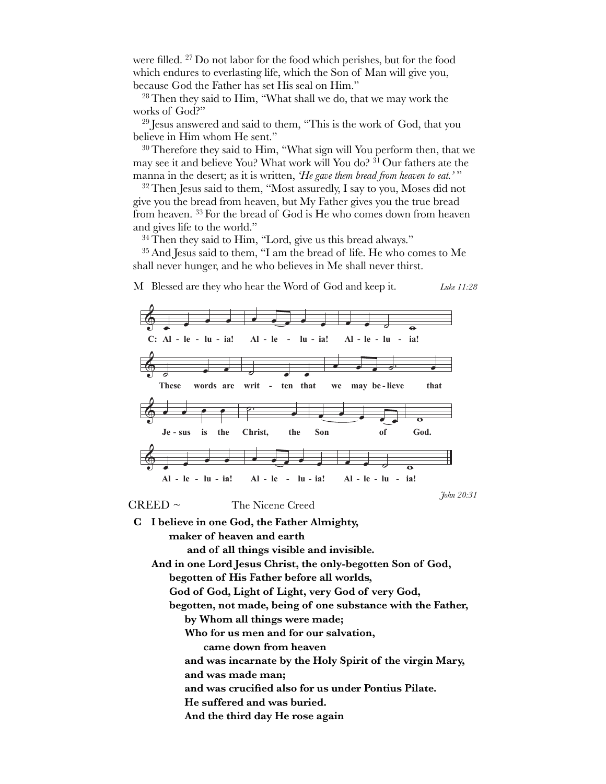were filled. <sup>27</sup> Do not labor for the food which perishes, but for the food which endures to everlasting life, which the Son of Man will give you, because God the Father has set His seal on Him."

<sup>28</sup> Then they said to Him, "What shall we do, that we may work the works of God?"

<sup>29</sup> Jesus answered and said to them, "This is the work of God, that you believe in Him whom He sent."

<sup>30</sup> Therefore they said to Him, "What sign will You perform then, that we may see it and believe You? What work will You do? <sup>31</sup> Our fathers ate the manna in the desert; as it is written, 'He gave them bread from heaven to eat.'"

<sup>32</sup> Then Jesus said to them, "Most assuredly, I say to you, Moses did not give you the bread from heaven, but My Father gives you the true bread from heaven.<sup>33</sup> For the bread of God is He who comes down from heaven and gives life to the world."

<sup>34</sup> Then they said to Him, "Lord, give us this bread always."

<sup>35</sup> And Jesus said to them, "I am the bread of life. He who comes to Me shall never hunger, and he who believes in Me shall never thirst.



C I believe in one God, the Father Almighty, maker of heaven and earth and of all things visible and invisible. And in one Lord Jesus Christ, the only-begotten Son of God, begotten of His Father before all worlds, God of God, Light of Light, very God of very God, begotten, not made, being of one substance with the Father,

- by Whom all things were made;
- Who for us men and for our salvation,
	- came down from heaven

and was incarnate by the Holy Spirit of the virgin Mary,

and was made man;

and was crucified also for us under Pontius Pilate.

He suffered and was buried.

And the third day He rose again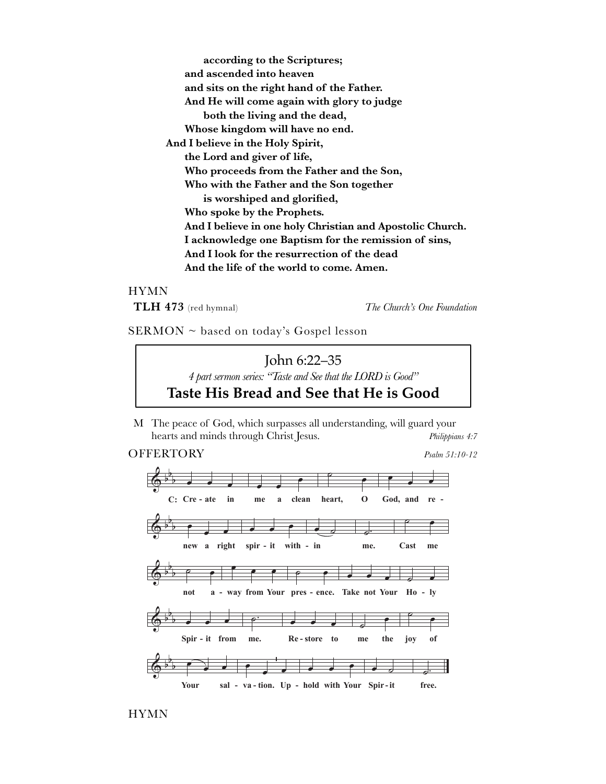according to the Scriptures; and ascended into heaven and sits on the right hand of the Father. And He will come again with glory to judge both the living and the dead, Whose kingdom will have no end. And I believe in the Holy Spirit, the Lord and giver of life, Who proceeds from the Father and the Son, Who with the Father and the Son together is worshiped and glorified, Who spoke by the Prophets. And I believe in one holy Christian and Apostolic Church. I acknowledge one Baptism for the remission of sins, And I look for the resurrection of the dead And the life of the world to come. Amen.

# **HYMN**

TLH 473 (red hymnal)

The Church's One Foundation

SERMON ~ based on today's Gospel lesson



M The peace of God, which surpasses all understanding, will guard your hearts and minds through Christ Jesus. Philippians 4:7

# **OFFERTORY**

Psalm 51:10-12

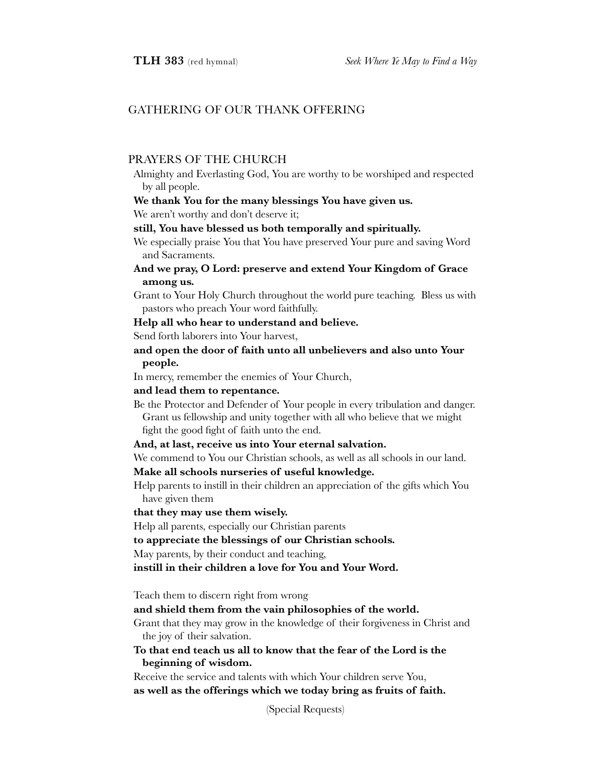# GATHERING OF OUR THANK OFFERING

# PRAYERS OF THE CHURCH

Almighty and Everlasting God, You are worthy to be worshiped and respected by all people.

## **We thank You for the many blessings You have given us.**

We aren't worthy and don't deserve it;

# **still, You have blessed us both temporally and spiritually.**

We especially praise You that You have preserved Your pure and saving Word and Sacraments.

# **And we pray, O Lord: preserve and extend Your Kingdom of Grace among us.**

Grant to Your Holy Church throughout the world pure teaching. Bless us with pastors who preach Your word faithfully.

# **Help all who hear to understand and believe.**

Send forth laborers into Your harvest,

# **and open the door of faith unto all unbelievers and also unto Your people.**

In mercy, remember the enemies of Your Church,

# **and lead them to repentance.**

Be the Protector and Defender of Your people in every tribulation and danger. Grant us fellowship and unity together with all who believe that we might fight the good fight of faith unto the end.

#### **And, at last, receive us into Your eternal salvation.**

We commend to You our Christian schools, as well as all schools in our land.

# **Make all schools nurseries of useful knowledge.**

Help parents to instill in their children an appreciation of the gifts which You have given them

# **that they may use them wisely.**

Help all parents, especially our Christian parents

#### **to appreciate the blessings of our Christian schools.**

May parents, by their conduct and teaching,

**instill in their children a love for You and Your Word.**

Teach them to discern right from wrong

**and shield them from the vain philosophies of the world.**

Grant that they may grow in the knowledge of their forgiveness in Christ and the joy of their salvation.

# **To that end teach us all to know that the fear of the Lord is the beginning of wisdom.**

Receive the service and talents with which Your children serve You, **as well as the offerings which we today bring as fruits of faith.** 

(Special Requests)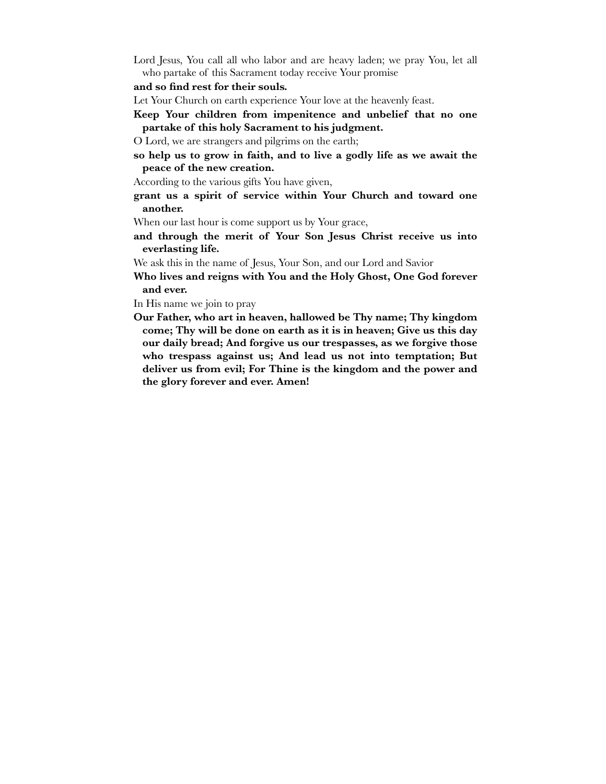Lord Jesus, You call all who labor and are heavy laden; we pray You, let all who partake of this Sacrament today receive Your promise

**and so find rest for their souls.**

Let Your Church on earth experience Your love at the heavenly feast.

- **Keep Your children from impenitence and unbelief that no one partake of this holy Sacrament to his judgment.**
- O Lord, we are strangers and pilgrims on the earth;
- **so help us to grow in faith, and to live a godly life as we await the peace of the new creation.**

According to the various gifts You have given,

**grant us a spirit of service within Your Church and toward one another.** 

When our last hour is come support us by Your grace,

**and through the merit of Your Son Jesus Christ receive us into everlasting life.**

We ask this in the name of Jesus, Your Son, and our Lord and Savior

**Who lives and reigns with You and the Holy Ghost, One God forever and ever.**

In His name we join to pray

**Our Father, who art in heaven, hallowed be Thy name; Thy kingdom come; Thy will be done on earth as it is in heaven; Give us this day our daily bread; And forgive us our trespasses, as we forgive those who trespass against us; And lead us not into temptation; But deliver us from evil; For Thine is the kingdom and the power and the glory forever and ever. Amen!**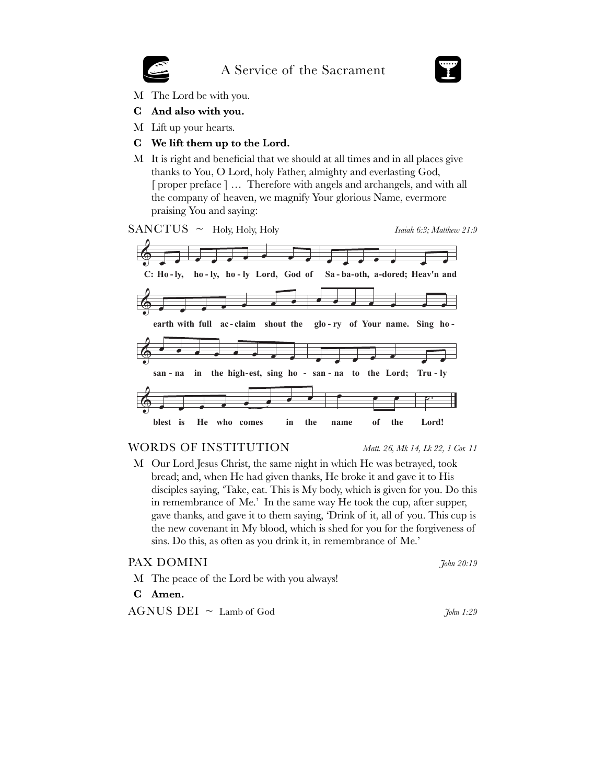# A Service of the Sacrament



- M The Lord be with you.
- C And also with you.
- M Lift up your hearts.
- C We lift them up to the Lord.
- M It is right and beneficial that we should at all times and in all places give thanks to You, O Lord, holy Father, almighty and everlasting God, [proper preface] ... Therefore with angels and archangels, and with all the company of heaven, we magnify Your glorious Name, evermore praising You and saying:

 $SANCTUS ~$  Holy, Holy, Holy

Isaiah 6:3; Matthew 21:9



## WORDS OF INSTITUTION

Matt. 26, Mk 14, Lk 22, 1 Cor. 11

M Our Lord Jesus Christ, the same night in which He was betrayed, took bread; and, when He had given thanks, He broke it and gave it to His disciples saying, 'Take, eat. This is My body, which is given for you. Do this in remembrance of Me.' In the same way He took the cup, after supper, gave thanks, and gave it to them saying, 'Drink of it, all of you. This cup is the new covenant in My blood, which is shed for you for the forgiveness of sins. Do this, as often as you drink it, in remembrance of Me.'

| PAX DOMINI                                  | <i>Fohn 20:19</i> |
|---------------------------------------------|-------------------|
| M The peace of the Lord be with you always! |                   |
| C Amen.                                     |                   |

 $AGNUS$  DEI  $\sim$  Lamb of God

John 1:29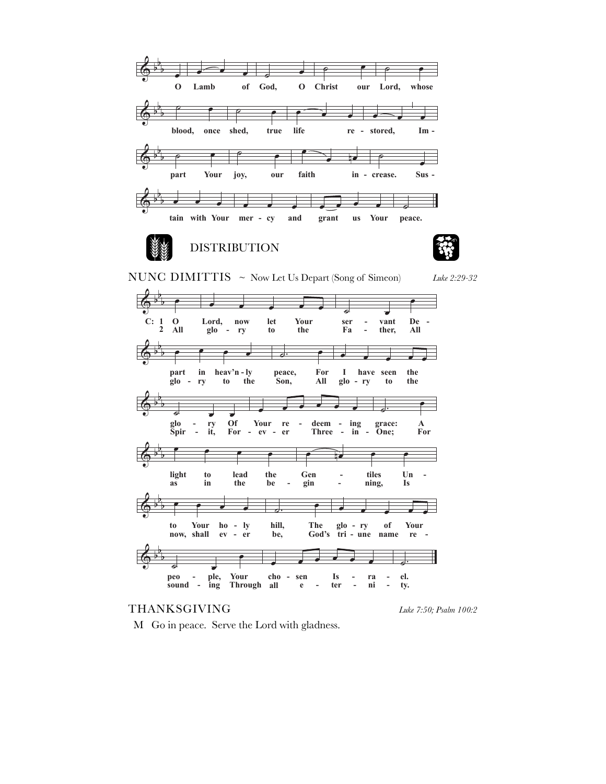

## THANKSGIVING

Luke 7:50; Psalm 100:2

M Go in peace. Serve the Lord with gladness.